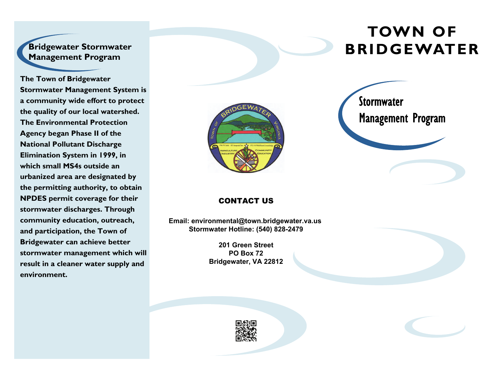## **Bridgewater Stormwater Management Program**

**The Town of Bridgewater Stormwater Management System is a community wide effort to protect the quality of our local watershed. The Environmental Protection Agency began Phase II of the National Pollutant Discharge Elimination System in 1999, in which small MS4s outside an urbanized area are designated by the permitting authority, to obtain NPDES permit coverage for their stormwater discharges. Through community education, outreach, and participation, the Town of Bridgewater can achieve better stormwater management which will result in a cleaner water supply and environment.** 



# **TOWN OF BRIDGEWATER**



#### CONTACT US

**Email: environmental@town.bridgewater.va.us Stormwater Hotline: (540) 828-2479**

> **201 Green Street PO Box 72 Bridgewater, VA 22812**